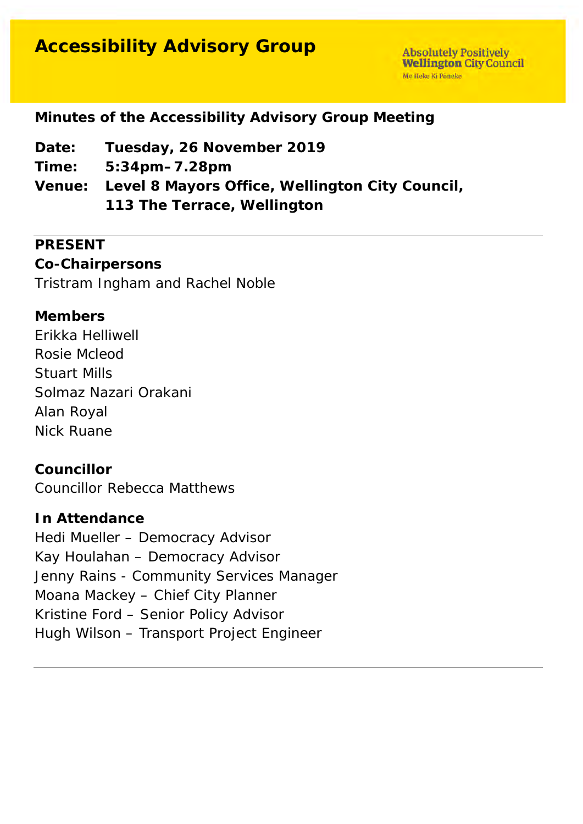# **Accessibility Advisory Group**

**Absolutely Positively Wellington City Council** Me Heke Ki Pôneke

# **Minutes of the Accessibility Advisory Group Meeting**

- **Date: Tuesday, 26 November 2019**
- **Time: 5:34pm–7.28pm**
- **Venue: Level 8 Mayors Office, Wellington City Council, 113 The Terrace, Wellington**

### **PRESENT**

### **Co-Chairpersons**

Tristram Ingham and Rachel Noble

# **Members**

Erikka Helliwell Rosie Mcleod Stuart Mills Solmaz Nazari Orakani Alan Royal Nick Ruane

### **Councillor**

Councillor Rebecca Matthews

#### **In Attendance**

Hedi Mueller – Democracy Advisor Kay Houlahan – Democracy Advisor Jenny Rains - Community Services Manager Moana Mackey – Chief City Planner Kristine Ford – Senior Policy Advisor Hugh Wilson – Transport Project Engineer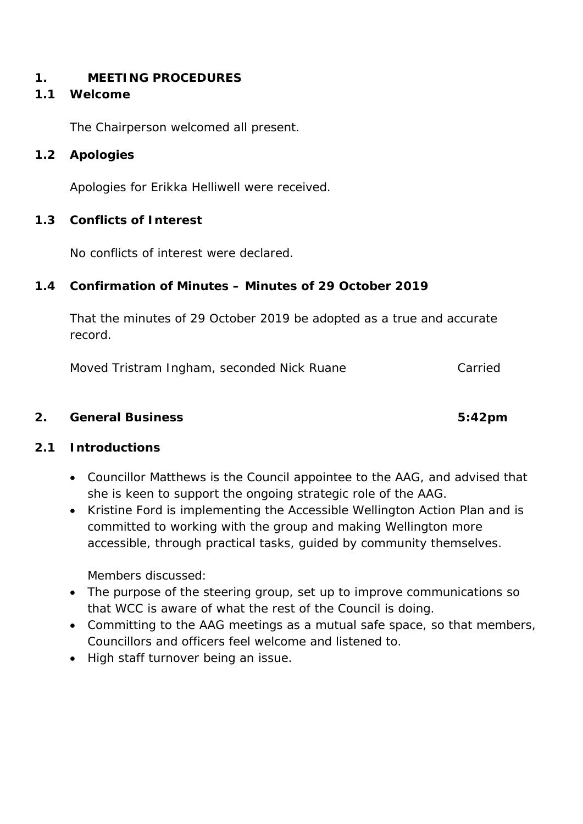#### **1. MEETING PROCEDURES**

#### **1.1 Welcome**

The Chairperson welcomed all present.

#### **1.2 Apologies**

Apologies for Erikka Helliwell were received.

#### **1.3 Conflicts of Interest**

No conflicts of interest were declared.

#### **1.4 Confirmation of Minutes – Minutes of 29 October 2019**

That the minutes of 29 October 2019 be adopted as a true and accurate record.

Moved Tristram Ingham, seconded Nick Ruane Carried

#### **2. General Business 5:42pm**

### **2.1 Introductions**

- Councillor Matthews is the Council appointee to the AAG, and advised that she is keen to support the ongoing strategic role of the AAG.
- Kristine Ford is implementing the Accessible Wellington Action Plan and is committed to working with the group and making Wellington more accessible, through practical tasks, guided by community themselves.

Members discussed:

- The purpose of the steering group, set up to improve communications so that WCC is aware of what the rest of the Council is doing.
- Committing to the AAG meetings as a mutual safe space, so that members, Councillors and officers feel welcome and listened to.
- High staff turnover being an issue.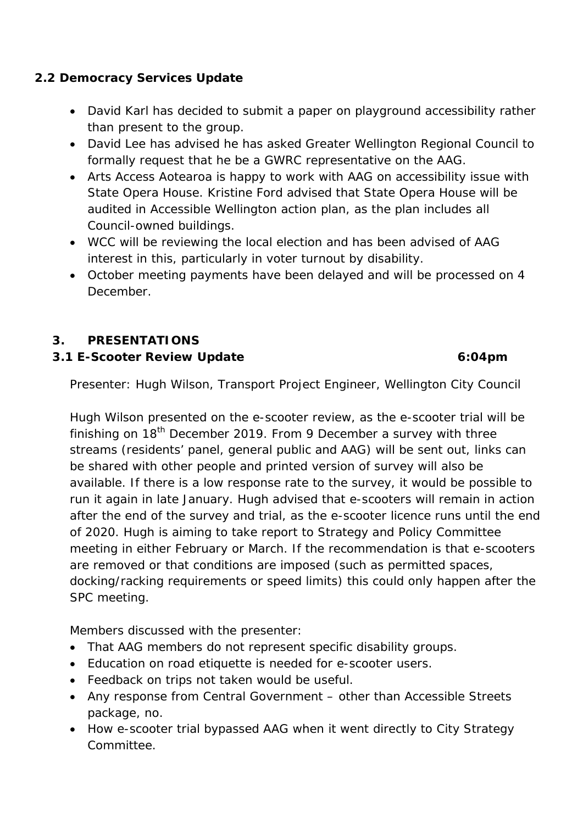### **2.2 Democracy Services Update**

- David Karl has decided to submit a paper on playground accessibility rather than present to the group.
- David Lee has advised he has asked Greater Wellington Regional Council to formally request that he be a GWRC representative on the AAG.
- Arts Access Aotearoa is happy to work with AAG on accessibility issue with State Opera House. Kristine Ford advised that State Opera House will be audited in Accessible Wellington action plan, as the plan includes all Council-owned buildings.
- WCC will be reviewing the local election and has been advised of AAG interest in this, particularly in voter turnout by disability.
- October meeting payments have been delayed and will be processed on 4 December.

# **3. PRESENTATIONS**

### **3.1 E-Scooter Review Update 6:04pm**

Presenter: Hugh Wilson, Transport Project Engineer, Wellington City Council

Hugh Wilson presented on the e-scooter review, as the e-scooter trial will be finishing on  $18<sup>th</sup>$  December 2019. From 9 December a survey with three streams (residents' panel, general public and AAG) will be sent out, links can be shared with other people and printed version of survey will also be available. If there is a low response rate to the survey, it would be possible to run it again in late January. Hugh advised that e-scooters will remain in action after the end of the survey and trial, as the e-scooter licence runs until the end of 2020. Hugh is aiming to take report to Strategy and Policy Committee meeting in either February or March. If the recommendation is that e-scooters are removed or that conditions are imposed (such as permitted spaces, docking/racking requirements or speed limits) this could only happen after the SPC meeting.

Members discussed with the presenter:

- That AAG members do not represent specific disability groups.
- Education on road etiquette is needed for e-scooter users.
- Feedback on trips not taken would be useful.
- Any response from Central Government other than Accessible Streets package, no.
- How e-scooter trial bypassed AAG when it went directly to City Strategy Committee.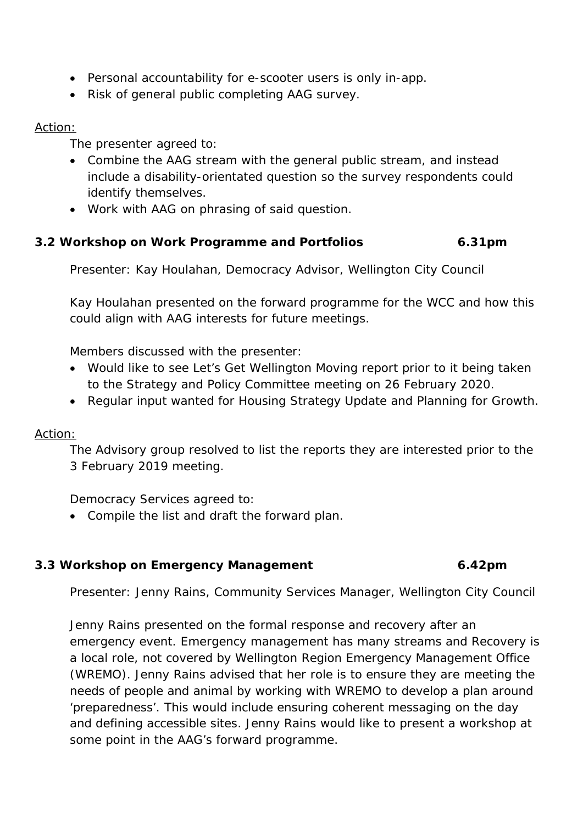- Personal accountability for e-scooter users is only in-app.
- Risk of general public completing AAG survey.

#### Action:

The presenter agreed to:

- Combine the AAG stream with the general public stream, and instead include a disability-orientated question so the survey respondents could identify themselves.
- Work with AAG on phrasing of said question.

# **3.2 Workshop on Work Programme and Portfolios 6.31pm**

Presenter: Kay Houlahan, Democracy Advisor, Wellington City Council

Kay Houlahan presented on the forward programme for the WCC and how this could align with AAG interests for future meetings.

Members discussed with the presenter:

- Would like to see Let's Get Wellington Moving report prior to it being taken to the Strategy and Policy Committee meeting on 26 February 2020.
- Regular input wanted for Housing Strategy Update and Planning for Growth.

### Action:

The Advisory group resolved to list the reports they are interested prior to the 3 February 2019 meeting.

Democracy Services agreed to:

• Compile the list and draft the forward plan.

### **3.3 Workshop on Emergency Management 6.42pm**

Presenter: Jenny Rains, Community Services Manager, Wellington City Council

Jenny Rains presented on the formal response and recovery after an emergency event. Emergency management has many streams and Recovery is a local role, not covered by Wellington Region Emergency Management Office (WREMO). Jenny Rains advised that her role is to ensure they are meeting the needs of people and animal by working with WREMO to develop a plan around 'preparedness'. This would include ensuring coherent messaging on the day and defining accessible sites. Jenny Rains would like to present a workshop at some point in the AAG's forward programme.